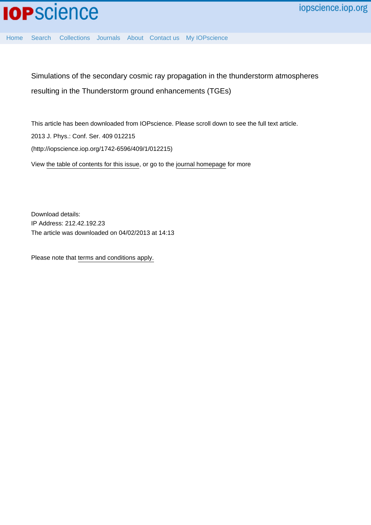

[Home](http://iopscience.iop.org/) [Search](http://iopscience.iop.org/search) [Collections](http://iopscience.iop.org/collections) [Journals](http://iopscience.iop.org/journals) [About](http://iopscience.iop.org/page/aboutioppublishing) [Contact us](http://iopscience.iop.org/contact) [My IOPscience](http://iopscience.iop.org/myiopscience)

Simulations of the secondary cosmic ray propagation in the thunderstorm atmospheres resulting in the Thunderstorm ground enhancements (TGEs)

This article has been downloaded from IOPscience. Please scroll down to see the full text article. 2013 J. Phys.: Conf. Ser. 409 012215 (http://iopscience.iop.org/1742-6596/409/1/012215) View [the table of contents for this issue](http://iopscience.iop.org/1742-6596/409/1), or go to the [journal homepage](http://iopscience.iop.org/1742-6596) for more

Download details: IP Address: 212.42.192.23 The article was downloaded on 04/02/2013 at 14:13

Please note that [terms and conditions apply.](http://iopscience.iop.org/page/terms)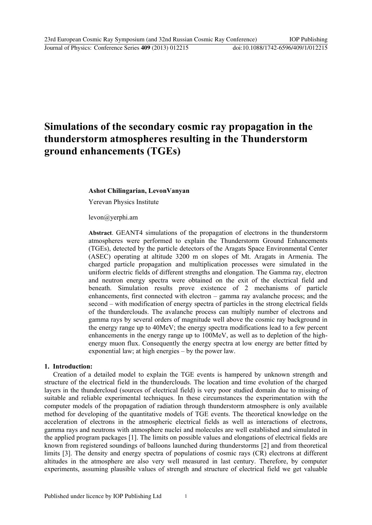# **Simulations of the secondary cosmic ray propagation in the thunderstorm atmospheres resulting in the Thunderstorm ground enhancements (TGEs)**

## **Ashot Chilingarian, LevonVanyan**

Yerevan Physics Institute

levon@yerphi.am

**Abstract**. GEANT4 simulations of the propagation of electrons in the thunderstorm atmospheres were performed to explain the Thunderstorm Ground Enhancements (TGEs), detected by the particle detectors of the Aragats Space Environmental Center (ASEC) operating at altitude 3200 m on slopes of Mt. Aragats in Armenia. The charged particle propagation and multiplication processes were simulated in the uniform electric fields of different strengths and elongation. The Gamma ray, electron and neutron energy spectra were obtained on the exit of the electrical field and beneath. Simulation results prove existence of 2 mechanisms of particle enhancements, first connected with electron – gamma ray avalanche process; and the second – with modification of energy spectra of particles in the strong electrical fields of the thunderclouds. The avalanche process can multiply number of electrons and gamma rays by several orders of magnitude well above the cosmic ray background in the energy range up to 40MeV; the energy spectra modifications lead to a few percent enhancements in the energy range up to 100MeV, as well as to depletion of the highenergy muon flux. Consequently the energy spectra at low energy are better fitted by exponential law; at high energies – by the power law.

## **1. Introduction:**

Creation of a detailed model to explain the TGE events is hampered by unknown strength and structure of the electrical field in the thunderclouds. The location and time evolution of the charged layers in the thundercloud (sources of electrical field) is very poor studied domain due to missing of suitable and reliable experimental techniques. In these circumstances the experimentation with the computer models of the propagation of radiation through thunderstorm atmosphere is only available method for developing of the quantitative models of TGE events. The theoretical knowledge on the acceleration of electrons in the atmospheric electrical fields as well as interactions of electrons, gamma rays and neutrons with atmosphere nuclei and molecules are well established and simulated in the applied program packages [1]. The limits on possible values and elongations of electrical fields are known from registered soundings of balloons launched during thunderstorms [2] and from theoretical limits [3]. The density and energy spectra of populations of cosmic rays (CR) electrons at different altitudes in the atmosphere are also very well measured in last century. Therefore, by computer experiments, assuming plausible values of strength and structure of electrical field we get valuable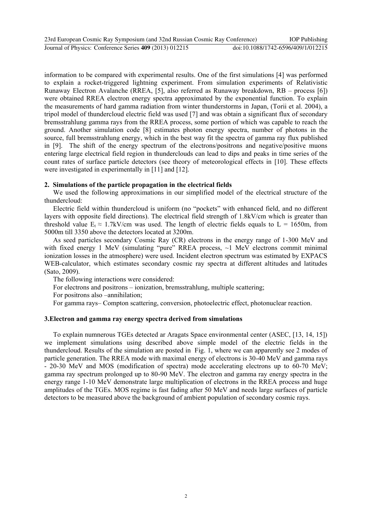| 23rd European Cosmic Ray Symposium (and 32nd Russian Cosmic Ray Conference) |                                    | <b>IOP</b> Publishing |
|-----------------------------------------------------------------------------|------------------------------------|-----------------------|
| Journal of Physics: Conference Series 409 (2013) 012215                     | doi:10.1088/1742-6596/409/1/012215 |                       |

information to be compared with experimental results. One of the first simulations [4] was performed to explain a rocket-triggered lightning experiment. From simulation experiments of Relativistic Runaway Electron Avalanche (RREA, [5], also referred as Runaway breakdown, RB – process [6]) were obtained RREA electron energy spectra approximated by the exponential function. To explain the measurements of hard gamma radiation from winter thunderstorms in Japan, (Torii et al. 2004), a tripol model of thundercloud electric field was used [7] and was obtain a significant flux of secondary bremsstrahlung gamma rays from the RREA process, some portion of which was capable to reach the ground. Another simulation code [8] estimates photon energy spectra, number of photons in the source, full bremsstrahlung energy, which in the best way fit the spectra of gamma ray flux published in [9]. The shift of the energy spectrum of the electrons/positrons and negative/positive muons entering large electrical field region in thunderclouds can lead to dips and peaks in time series of the count rates of surface particle detectors (see theory of meteorological effects in [10]. These effects were investigated in experimentally in [11] and [12].

#### **2. Simulations of the particle propagation in the electrical fields**

We used the following approximations in our simplified model of the electrical structure of the thundercloud:

Electric field within thundercloud is uniform (no "pockets" with enhanced field, and no different layers with opposite field directions). The electrical field strength of 1.8kV/cm which is greater than threshold value  $E_t \approx 1.7$ kV/cm was used. The length of electric fields equals to L = 1650m, from 5000m till 3350 above the detectors located at 3200m.

As seed particles secondary Cosmic Ray (CR) electrons in the energy range of 1-300 MeV and with fixed energy 1 MeV (simulating "pure" RREA process, ~1 MeV electrons commit minimal ionization losses in the atmosphere) were used. Incident electron spectrum was estimated by EXPACS WEB-calculator, which estimates secondary cosmic ray spectra at different altitudes and latitudes (Sato, 2009).

The following interactions were considered:

For electrons and positrons – ionization, bremsstrahlung, multiple scattering;

For positrons also –annihilation;

For gamma rays– Compton scattering, conversion, photoelectric effect, photonuclear reaction.

# **3.Electron and gamma ray energy spectra derived from simulations**

To explain numnerous TGEs detected ar Aragats Space environmental center (ASEC, [13, 14, 15]) we implement simulations using described above simple model of the electric fields in the thundercloud. Results of the simulation are posted in Fig. 1, where we can apparently see 2 modes of particle generation. The RREA mode with maximal energy of electrons is 30-40 MeV and gamma rays - 20-30 MeV and MOS (modification of spectra) mode accelerating electrons up to 60-70 MeV; gamma ray spectrum prolonged up to 80-90 MeV. The electron and gamma ray energy spectra in the energy range 1-10 MeV demonstrate large multiplication of electrons in the RREA process and huge amplitudes of the TGEs. MOS regime is fast fading after 50 MeV and needs large surfaces of particle detectors to be measured above the background of ambient population of secondary cosmic rays.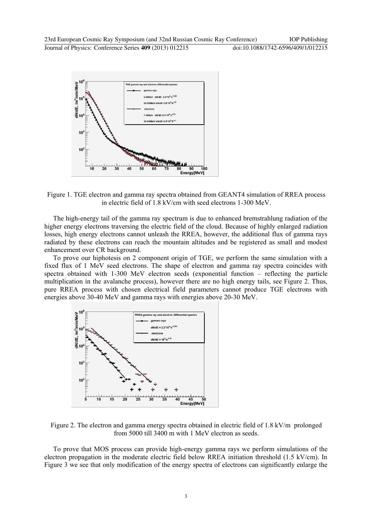

Figure 1. TGE electron and gamma ray spectra obtained from GEANT4 simulation of RREA process in electric field of 1.8 kV/cm with seed electrons 1-300 MeV.

The high-energy tail of the gamma ray spectrum is due to enhanced bremstrahlung radiation of the higher energy electrons traversing the electric field of the cloud. Because of highly enlarged radiation losses, high energy electrons cannot unleash the RREA, however, the additional flux of gamma rays radiated by these electrons can reach the mountain altitudes and be registered as small and modest enhancement over CR background.

To prove our hiphotesis on 2 component origin of TGE, we perform the same simulation with a fixed flux of 1 MeV seed electrons. The shape of electron and gamma ray spectra coincides with spectra obtained with 1-300 MeV electron seeds (exponential function – reflecting the particle multiplication in the avalanche process), however there are no high energy tails, see Figure 2. Thus, pure RREA process with chosen electrical field parameters cannot produce TGE electrons with energies above 30-40 MeV and gamma rays with energies above 20-30 MeV.



Figure 2. The electron and gamma energy spectra obtained in electric field of 1.8 kV/m prolonged from 5000 till 3400 m with 1 MeV electron as seeds.

To prove that MOS process can provide high-energy gamma rays we perform simulations of the electron propagation in the moderate electric field below RREA initiation threshold (1.5 kV/cm). In Figure 3 we see that only modification of the energy spectra of electrons can significantly enlarge the